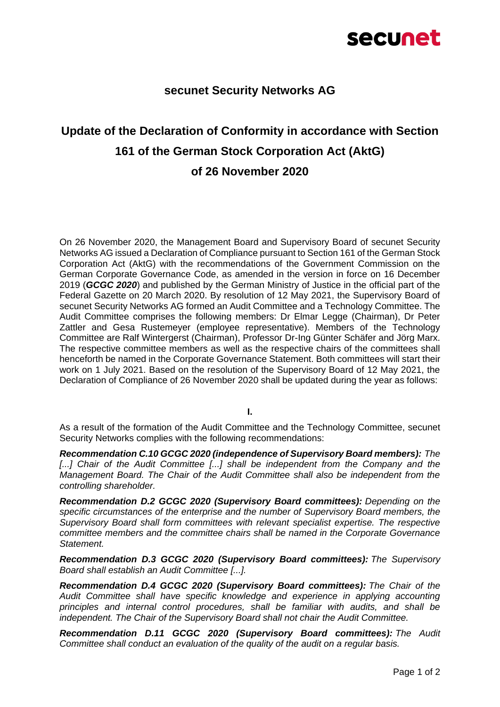## secunet

## **secunet Security Networks AG**

## **Update of the Declaration of Conformity in accordance with Section 161 of the German Stock Corporation Act (AktG) of 26 November 2020**

On 26 November 2020, the Management Board and Supervisory Board of secunet Security Networks AG issued a Declaration of Compliance pursuant to Section 161 of the German Stock Corporation Act (AktG) with the recommendations of the Government Commission on the German Corporate Governance Code, as amended in the version in force on 16 December 2019 (*GCGC 2020*) and published by the German Ministry of Justice in the official part of the Federal Gazette on 20 March 2020. By resolution of 12 May 2021, the Supervisory Board of secunet Security Networks AG formed an Audit Committee and a Technology Committee. The Audit Committee comprises the following members: Dr Elmar Legge (Chairman), Dr Peter Zattler and Gesa Rustemeyer (employee representative). Members of the Technology Committee are Ralf Wintergerst (Chairman), Professor Dr-Ing Günter Schäfer and Jörg Marx. The respective committee members as well as the respective chairs of the committees shall henceforth be named in the Corporate Governance Statement. Both committees will start their work on 1 July 2021. Based on the resolution of the Supervisory Board of 12 May 2021, the Declaration of Compliance of 26 November 2020 shall be updated during the year as follows:

**I.** 

As a result of the formation of the Audit Committee and the Technology Committee, secunet Security Networks complies with the following recommendations:

*Recommendation C.10 GCGC 2020 (independence of Supervisory Board members): The*  [...] Chair of the Audit Committee [...] shall be independent from the Company and the *Management Board. The Chair of the Audit Committee shall also be independent from the controlling shareholder.*

*Recommendation D.2 GCGC 2020 (Supervisory Board committees): Depending on the specific circumstances of the enterprise and the number of Supervisory Board members, the Supervisory Board shall form committees with relevant specialist expertise. The respective committee members and the committee chairs shall be named in the Corporate Governance Statement.*

*Recommendation D.3 GCGC 2020 (Supervisory Board committees): The Supervisory Board shall establish an Audit Committee [...].*

*Recommendation D.4 GCGC 2020 (Supervisory Board committees): The Chair of the Audit Committee shall have specific knowledge and experience in applying accounting principles and internal control procedures, shall be familiar with audits, and shall be independent. The Chair of the Supervisory Board shall not chair the Audit Committee.*

*Recommendation D.11 GCGC 2020 (Supervisory Board committees): The Audit Committee shall conduct an evaluation of the quality of the audit on a regular basis.*